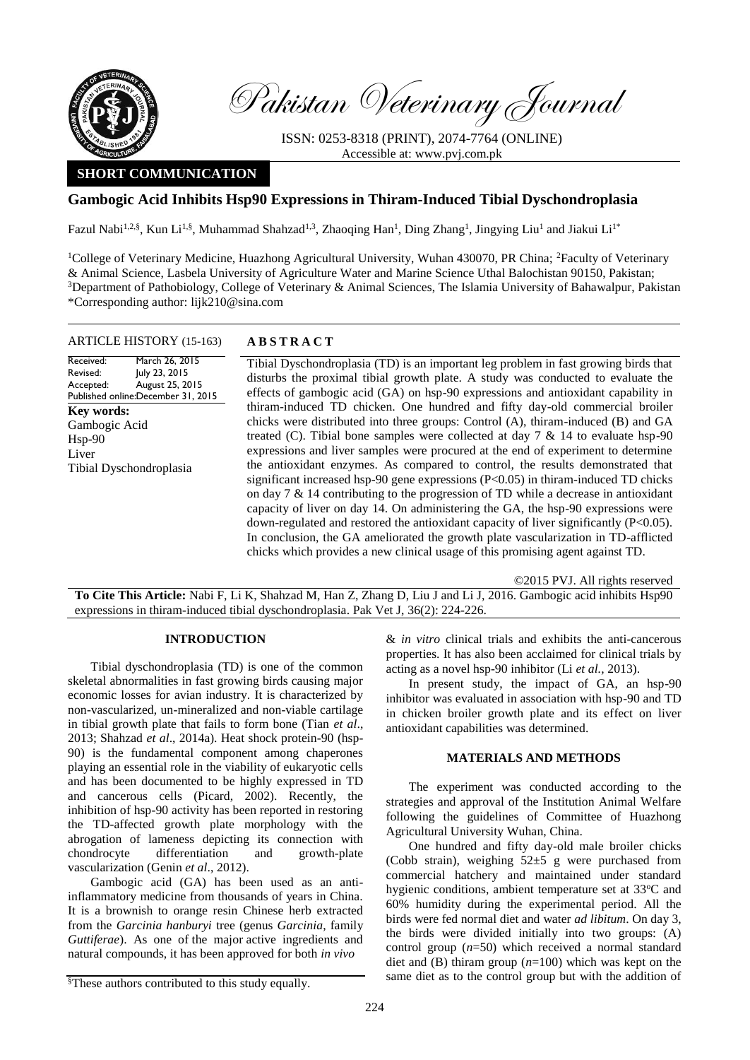

Received: Revised: Accepted:

Hsp-90 Liver

**Key words:** 

Pakistan Veterinary Journal

ISSN: 0253-8318 (PRINT), 2074-7764 (ONLINE) Accessible at: [www.pvj.com.pk](http://www.pvj.com.pk/)

# **SHORT COMMUNICATION**

# **Gambogic Acid Inhibits Hsp90 Expressions in Thiram-Induced Tibial Dyschondroplasia**

Fazul Nabi<sup>1,2,§</sup>, Kun Li<sup>1,§</sup>, Muhammad Shahzad<sup>1,3</sup>, Zhaoqing Han<sup>1</sup>, Ding Zhang<sup>1</sup>, Jingying Liu<sup>1</sup> and Jiakui Li<sup>1\*</sup>

<sup>1</sup>College of Veterinary Medicine, Huazhong Agricultural University, Wuhan 430070, PR China; <sup>2</sup>Faculty of Veterinary & Animal Science, Lasbela University of Agriculture Water and Marine Science Uthal Balochistan 90150, Pakistan; <sup>3</sup>Department of Pathobiology, College of Veterinary & Animal Sciences, The Islamia University of Bahawalpur, Pakistan \*Corresponding author: lijk210@sina.com

### ARTICLE HISTORY (15-163) **A B S T R A C T**

Published online: December 31, 2015 March 26, 2015 July 23, 2015 August 25, 2015 Tibial Dyschondroplasia (TD) is an important leg problem in fast growing birds that disturbs the proximal tibial growth plate. A study was conducted to evaluate the effects of gambogic acid (GA) on hsp-90 expressions and antioxidant capability in thiram-induced TD chicken. One hundred and fifty day-old commercial broiler chicks were distributed into three groups: Control (A), thiram-induced (B) and GA treated (C). Tibial bone samples were collected at day  $7 \& 14$  to evaluate hsp-90 expressions and liver samples were procured at the end of experiment to determine the antioxidant enzymes. As compared to control, the results demonstrated that significant increased hsp-90 gene expressions (P<0.05) in thiram-induced TD chicks on day 7 & 14 contributing to the progression of TD while a decrease in antioxidant capacity of liver on day 14. On administering the GA, the hsp-90 expressions were down-regulated and restored the antioxidant capacity of liver significantly (P<0.05). In conclusion, the GA ameliorated the growth plate vascularization in TD-afflicted Gambogic Acid Tibial Dyschondroplasia

©2015 PVJ. All rights reserved

**To Cite This Article:** Nabi F, Li K, Shahzad M, Han Z, Zhang D, Liu J and Li J, 2016. Gambogic acid inhibits Hsp90 expressions in thiram-induced tibial dyschondroplasia. Pak Vet J, 36(2): 224-226.

chicks which provides a new clinical usage of this promising agent against TD.

### **INTRODUCTION**

Tibial dyschondroplasia (TD) is one of the common skeletal abnormalities in fast growing birds causing major economic losses for avian industry. It is characterized by non-vascularized, un-mineralized and non-viable cartilage in tibial growth plate that fails to form bone (Tian *et al*., 2013; Shahzad *et al*., 2014a). Heat shock protein-90 (hsp-90) is the fundamental component among chaperones playing an essential role in the viability of eukaryotic cells and has been documented to be highly expressed in TD and cancerous cells (Picard, 2002). Recently, the inhibition of hsp-90 activity has been reported in restoring the TD-affected growth plate morphology with the abrogation of lameness depicting its connection with chondrocyte differentiation and growth-plate vascularization (Genin *et al*., 2012).

Gambogic acid (GA) has been used as an antiinflammatory medicine from thousands of years in China. It is a brownish to orange resin Chinese herb extracted from the *Garcinia hanburyi* tree (genus *Garcinia*, family *Guttiferae*). As one of the major active ingredients and natural compounds, it has been approved for both *in vivo*

& *in vitro* clinical trials and exhibits the anti-cancerous properties. It has also been acclaimed for clinical trials by acting as a novel hsp-90 inhibitor (Li *et al.,* 2013).

In present study, the impact of GA, an hsp-90 inhibitor was evaluated in association with hsp-90 and TD in chicken broiler growth plate and its effect on liver antioxidant capabilities was determined.

## **MATERIALS AND METHODS**

The experiment was conducted according to the strategies and approval of the Institution Animal Welfare following the guidelines of Committee of Huazhong Agricultural University Wuhan, China.

One hundred and fifty day-old male broiler chicks (Cobb strain), weighing  $52\pm 5$  g were purchased from commercial hatchery and maintained under standard hygienic conditions, ambient temperature set at 33<sup>o</sup>C and 60% humidity during the experimental period. All the birds were fed normal diet and water *ad libitum*. On day 3, the birds were divided initially into two groups: (A) control group (*n*=50) which received a normal standard diet and (B) thiram group (*n*=100) which was kept on the same diet as to the control group but with the addition of

<sup>&</sup>lt;sup>§</sup>These authors contributed to this study equally.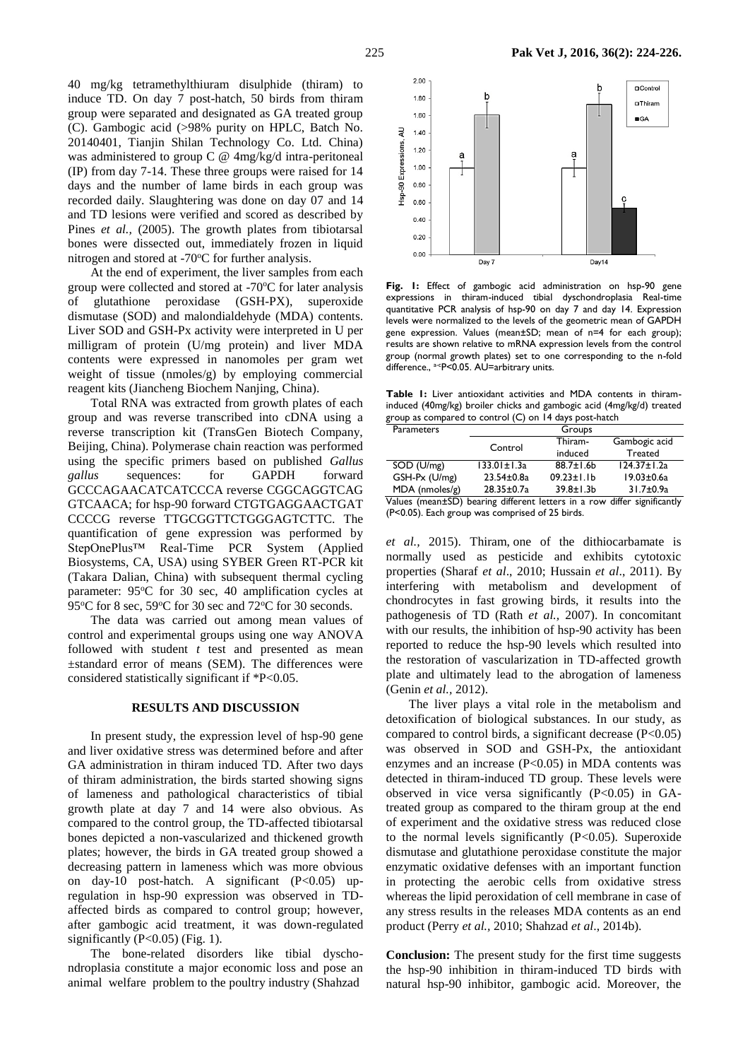40 mg/kg tetramethylthiuram disulphide (thiram) to induce TD. On day 7 post-hatch, 50 birds from thiram group were separated and designated as GA treated group (C). Gambogic acid (>98% purity on HPLC, Batch No. 20140401, Tianjin Shilan Technology Co. Ltd. China) was administered to group C @ 4mg/kg/d intra-peritoneal (IP) from day 7-14. These three groups were raised for 14 days and the number of lame birds in each group was recorded daily. Slaughtering was done on day 07 and 14 and TD lesions were verified and scored as described by Pines *et al.*, (2005). The growth plates from tibiotarsal bones were dissected out, immediately frozen in liquid nitrogen and stored at  $-70^{\circ}$ C for further analysis.

At the end of experiment, the liver samples from each group were collected and stored at -70°C for later analysis of glutathione peroxidase (GSH-PX), superoxide dismutase (SOD) and malondialdehyde (MDA) contents. Liver SOD and GSH-Px activity were interpreted in U per milligram of protein (U/mg protein) and liver MDA contents were expressed in nanomoles per gram wet weight of tissue (nmoles/g) by employing commercial reagent kits (Jiancheng Biochem Nanjing, China).

Total RNA was extracted from growth plates of each group and was reverse transcribed into cDNA using a reverse transcription kit (TransGen Biotech Company, Beijing, China). Polymerase chain reaction was performed using the specific primers based on published *Gallus gallus* sequences: for GAPDH forward GCCCAGAACATCATCCCA reverse CGGCAGGTCAG GTCAACA; for hsp-90 forward CTGTGAGGAACTGAT CCCCG reverse TTGCGGTTCTGGGAGTCTTC. The quantification of gene expression was performed by StepOnePlus™ Real-Time PCR System (Applied Biosystems, CA, USA) using SYBER Green RT-PCR kit (Takara Dalian, China) with subsequent thermal cycling parameter: 95°C for 30 sec, 40 amplification cycles at 95<sup>o</sup>C for 8 sec, 59<sup>o</sup>C for 30 sec and 72<sup>o</sup>C for 30 seconds.

The data was carried out among mean values of control and experimental groups using one way ANOVA followed with student *t* test and presented as mean ±standard error of means (SEM). The differences were considered statistically significant if \*P<0.05.

#### **RESULTS AND DISCUSSION**

In present study, the expression level of hsp-90 gene and liver oxidative stress was determined before and after GA administration in thiram induced TD. After two days of thiram administration, the birds started showing signs of lameness and pathological characteristics of tibial growth plate at day 7 and 14 were also obvious. As compared to the control group, the TD-affected tibiotarsal bones depicted a non-vascularized and thickened growth plates; however, the birds in GA treated group showed a decreasing pattern in lameness which was more obvious on day-10 post-hatch. A significant (P<0.05) upregulation in hsp-90 expression was observed in TDaffected birds as compared to control group; however, after gambogic acid treatment, it was down-regulated significantly  $(P<0.05)$  (Fig. 1).

The bone-related disorders like tibial dyschondroplasia constitute a major economic loss and pose an animal welfare problem to the poultry industry (Shahzad



**Fig. 1:** Effect of gambogic acid administration on hsp-90 gene expressions in thiram-induced tibial dyschondroplasia Real-time quantitative PCR analysis of hsp-90 on day 7 and day 14. Expression levels were normalized to the levels of the geometric mean of GAPDH gene expression. Values (mean±SD; mean of n=4 for each group); results are shown relative to mRNA expression levels from the control group (normal growth plates) set to one corresponding to the n-fold difference., <sup>a-c</sup>P<0.05. AU=arbitrary units.

**Table 1:** Liver antioxidant activities and MDA contents in thiraminduced (40mg/kg) broiler chicks and gambogic acid (4mg/kg/d) treated group as compared to control (C) on 14 days post-hatch

| <b>Parameters</b> |                   | Groups            |                   |
|-------------------|-------------------|-------------------|-------------------|
|                   | Control           | Thiram-           | Gambogic acid     |
|                   |                   | induced           | <b>Treated</b>    |
| SOD (U/mg)        | $133.01 \pm 1.3a$ | $88.7 \pm 1.6$ b  | $124.37 \pm 1.2a$ |
| GSH-Px (U/mg)     | $23.54 \pm 0.8a$  | $09.23 \pm 1.1 b$ | $19.03 \pm 0.6a$  |
| MDA (nmoles/g)    | 28.35±0.7a        | $39.8 \pm 1.3 b$  | 31.7±0.9a         |
|                   |                   |                   |                   |

Values (mean±SD) bearing different letters in a row differ significantly (P<0.05). Each group was comprised of 25 birds.

*et al.,* 2015). Thiram, one of the dithiocarbamate is normally used as pesticide and exhibits cytotoxic properties (Sharaf *et al*., 2010; Hussain *et al*., 2011). By interfering with metabolism and development of chondrocytes in fast growing birds, it results into the pathogenesis of TD (Rath *et al.,* 2007). In concomitant with our results, the inhibition of hsp-90 activity has been reported to reduce the hsp-90 levels which resulted into the restoration of vascularization in TD-affected growth plate and ultimately lead to the abrogation of lameness (Genin *et al.,* 2012).

The liver plays a vital role in the metabolism and detoxification of biological substances. In our study, as compared to control birds, a significant decrease (P<0.05) was observed in SOD and GSH-Px, the antioxidant enzymes and an increase  $(P<0.05)$  in MDA contents was detected in thiram-induced TD group. These levels were observed in vice versa significantly  $(P<0.05)$  in GAtreated group as compared to the thiram group at the end of experiment and the oxidative stress was reduced close to the normal levels significantly  $(P<0.05)$ . Superoxide dismutase and glutathione peroxidase constitute the major enzymatic oxidative defenses with an important function in protecting the aerobic cells from oxidative stress whereas the lipid peroxidation of cell membrane in case of any stress results in the releases MDA contents as an end product (Perry *et al.,* 2010; Shahzad *et al*., 2014b).

**Conclusion:** The present study for the first time suggests the hsp-90 inhibition in thiram-induced TD birds with natural hsp-90 inhibitor, gambogic acid. Moreover, the